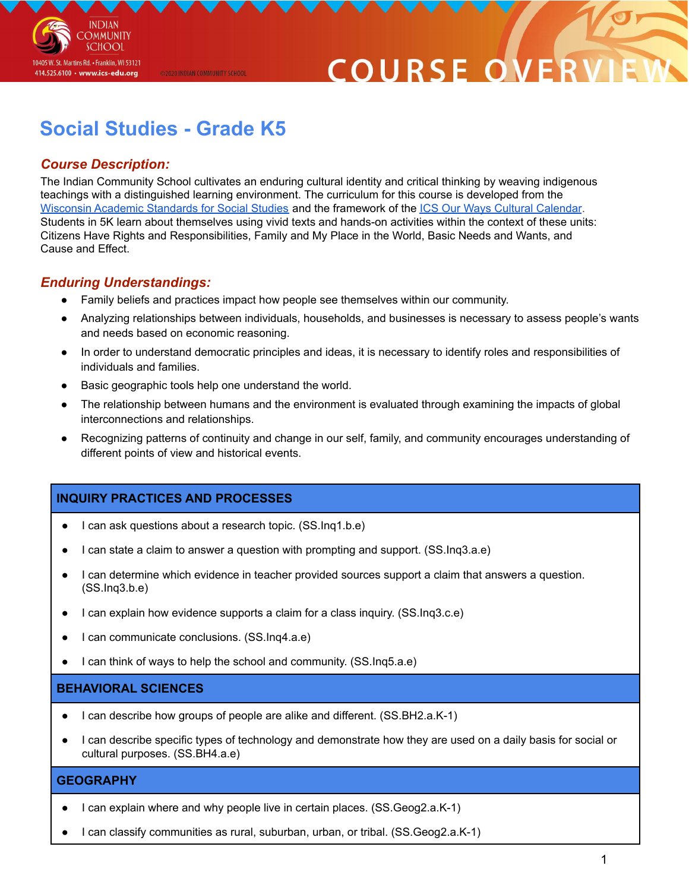

# **COURSE O**

# **Social Studies - Grade K5**

@2020 INDIAN COMMUNITY SCHOOL

# *Course Description:*

The Indian Community School cultivates an enduring cultural identity and critical thinking by weaving indigenous teachings with a distinguished learning environment. The curriculum for this course is developed from the Wisconsin Academic [Standards](https://dpi.wi.gov/sites/default/files/imce/standards/New%20pdfs/2018_WI_Social_Studies_Standards.pdf) for Social Studies and the framework of the ICS Our Ways Cultural [Calendar](https://drive.google.com/open?id=0B7pONXiRIufTT3VHOXBBeG9USHMzbDNIUi1nV0NTbURCMFRZ). Students in 5K learn about themselves using vivid texts and hands-on activities within the context of these units: Citizens Have Rights and Responsibilities, Family and My Place in the World, Basic Needs and Wants, and Cause and Effect.

# *Enduring Understandings:*

- Family beliefs and practices impact how people see themselves within our community.
- Analyzing relationships between individuals, households, and businesses is necessary to assess people's wants and needs based on economic reasoning.
- In order to understand democratic principles and ideas, it is necessary to identify roles and responsibilities of individuals and families.
- Basic geographic tools help one understand the world.
- The relationship between humans and the environment is evaluated through examining the impacts of global interconnections and relationships.
- Recognizing patterns of continuity and change in our self, family, and community encourages understanding of different points of view and historical events.

# **INQUIRY PRACTICES AND PROCESSES**

- I can ask questions about a research topic. (SS.Inq1.b.e)
- I can state a claim to answer a question with prompting and support. (SS.Inq3.a.e)
- I can determine which evidence in teacher provided sources support a claim that answers a question. (SS.Inq3.b.e)
- I can explain how evidence supports a claim for a class inquiry. (SS.Inq3.c.e)
- I can communicate conclusions. (SS.Inq4.a.e)
- I can think of ways to help the school and community. (SS.Ing5.a.e)

#### **BEHAVIORAL SCIENCES**

- I can describe how groups of people are alike and different. (SS.BH2.a.K-1)
- I can describe specific types of technology and demonstrate how they are used on a daily basis for social or cultural purposes. (SS.BH4.a.e)

## **GEOGRAPHY**

- I can explain where and why people live in certain places. (SS.Geog2.a.K-1)
- I can classify communities as rural, suburban, urban, or tribal. (SS.Geog2.a.K-1)